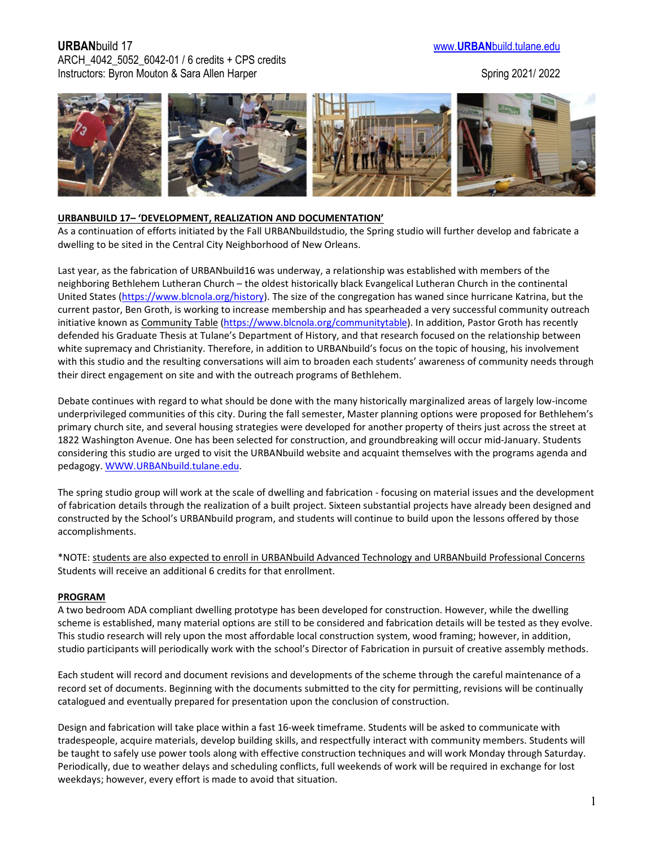## **URBAN**build 17 www.**URBAN**[build.tulane.edu](http://www.urbanbuild.tulane.edu/) ARCH\_4042\_5052\_6042-01 / 6 credits + CPS credits Instructors: Byron Mouton & Sara Allen Harper Spring 2021/ 2022 Spring 2021/ 2022



#### **URBANBUILD 17– 'DEVELOPMENT, REALIZATION AND DOCUMENTATION'**

As a continuation of efforts initiated by the Fall URBANbuildstudio, the Spring studio will further develop and fabricate a dwelling to be sited in the Central City Neighborhood of New Orleans.

Last year, as the fabrication of URBANbuild16 was underway, a relationship was established with members of the neighboring Bethlehem Lutheran Church – the oldest historically black Evangelical Lutheran Church in the continental United States [\(https://www.blcnola.org/history\)](https://www.blcnola.org/history). The size of the congregation has waned since hurricane Katrina, but the current pastor, Ben Groth, is working to increase membership and has spearheaded a very successful community outreach initiative known as Community Table [\(https://www.blcnola.org/communitytable\)](https://www.blcnola.org/communitytable). In addition, Pastor Groth has recently defended his Graduate Thesis at Tulane's Department of History, and that research focused on the relationship between white supremacy and Christianity. Therefore, in addition to URBANbuild's focus on the topic of housing, his involvement with this studio and the resulting conversations will aim to broaden each students' awareness of community needs through their direct engagement on site and with the outreach programs of Bethlehem.

Debate continues with regard to what should be done with the many historically marginalized areas of largely low-income underprivileged communities of this city. During the fall semester, Master planning options were proposed for Bethlehem's primary church site, and several housing strategies were developed for another property of theirs just across the street at 1822 Washington Avenue. One has been selected for construction, and groundbreaking will occur mid-January. Students considering this studio are urged to visit the URBANbuild website and acquaint themselves with the programs agenda and pedagogy. [WWW.URBANbuild.tulane.edu.](http://www.urbanbuild.tulane.edu/)

The spring studio group will work at the scale of dwelling and fabrication - focusing on material issues and the development of fabrication details through the realization of a built project. Sixteen substantial projects have already been designed and constructed by the School's URBANbuild program, and students will continue to build upon the lessons offered by those accomplishments.

\*NOTE: students are also expected to enroll in URBANbuild Advanced Technology and URBANbuild Professional Concerns Students will receive an additional 6 credits for that enrollment.

#### **PROGRAM**

A two bedroom ADA compliant dwelling prototype has been developed for construction. However, while the dwelling scheme is established, many material options are still to be considered and fabrication details will be tested as they evolve. This studio research will rely upon the most affordable local construction system, wood framing; however, in addition, studio participants will periodically work with the school's Director of Fabrication in pursuit of creative assembly methods.

Each student will record and document revisions and developments of the scheme through the careful maintenance of a record set of documents. Beginning with the documents submitted to the city for permitting, revisions will be continually catalogued and eventually prepared for presentation upon the conclusion of construction.

Design and fabrication will take place within a fast 16-week timeframe. Students will be asked to communicate with tradespeople, acquire materials, develop building skills, and respectfully interact with community members. Students will be taught to safely use power tools along with effective construction techniques and will work Monday through Saturday. Periodically, due to weather delays and scheduling conflicts, full weekends of work will be required in exchange for lost weekdays; however, every effort is made to avoid that situation.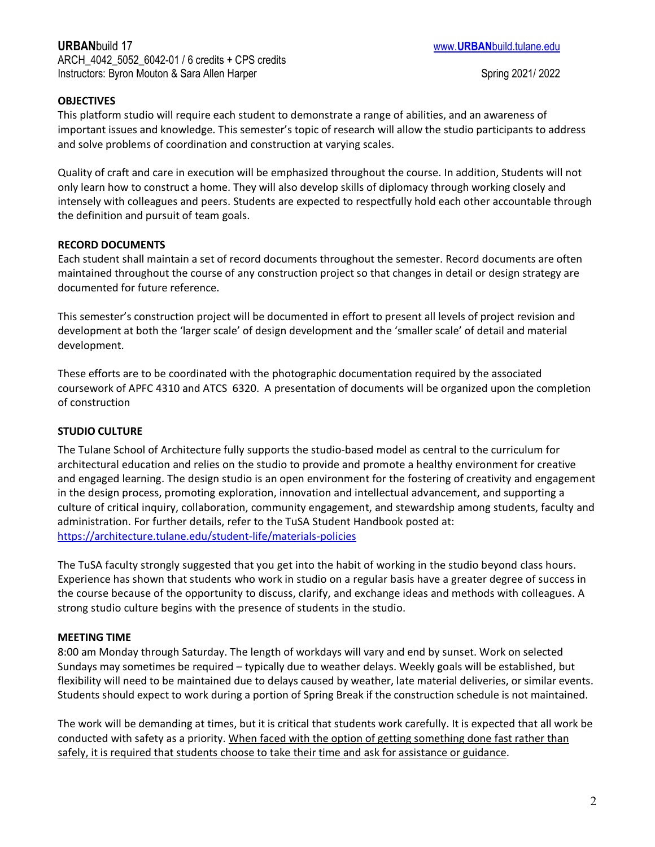## **OBJECTIVES**

This platform studio will require each student to demonstrate a range of abilities, and an awareness of important issues and knowledge. This semester's topic of research will allow the studio participants to address and solve problems of coordination and construction at varying scales.

Quality of craft and care in execution will be emphasized throughout the course. In addition, Students will not only learn how to construct a home. They will also develop skills of diplomacy through working closely and intensely with colleagues and peers. Students are expected to respectfully hold each other accountable through the definition and pursuit of team goals.

### **RECORD DOCUMENTS**

Each student shall maintain a set of record documents throughout the semester. Record documents are often maintained throughout the course of any construction project so that changes in detail or design strategy are documented for future reference.

This semester's construction project will be documented in effort to present all levels of project revision and development at both the 'larger scale' of design development and the 'smaller scale' of detail and material development.

These efforts are to be coordinated with the photographic documentation required by the associated coursework of APFC 4310 and ATCS 6320. A presentation of documents will be organized upon the completion of construction

### **STUDIO CULTURE**

The Tulane School of Architecture fully supports the studio-based model as central to the curriculum for architectural education and relies on the studio to provide and promote a healthy environment for creative and engaged learning. The design studio is an open environment for the fostering of creativity and engagement in the design process, promoting exploration, innovation and intellectual advancement, and supporting a culture of critical inquiry, collaboration, community engagement, and stewardship among students, faculty and administration. For further details, refer to the TuSA Student Handbook posted at: <https://architecture.tulane.edu/student-life/materials-policies>

The TuSA faculty strongly suggested that you get into the habit of working in the studio beyond class hours. Experience has shown that students who work in studio on a regular basis have a greater degree of success in the course because of the opportunity to discuss, clarify, and exchange ideas and methods with colleagues. A strong studio culture begins with the presence of students in the studio.

### **MEETING TIME**

8:00 am Monday through Saturday. The length of workdays will vary and end by sunset. Work on selected Sundays may sometimes be required – typically due to weather delays. Weekly goals will be established, but flexibility will need to be maintained due to delays caused by weather, late material deliveries, or similar events. Students should expect to work during a portion of Spring Break if the construction schedule is not maintained.

The work will be demanding at times, but it is critical that students work carefully. It is expected that all work be conducted with safety as a priority. When faced with the option of getting something done fast rather than safely, it is required that students choose to take their time and ask for assistance or guidance.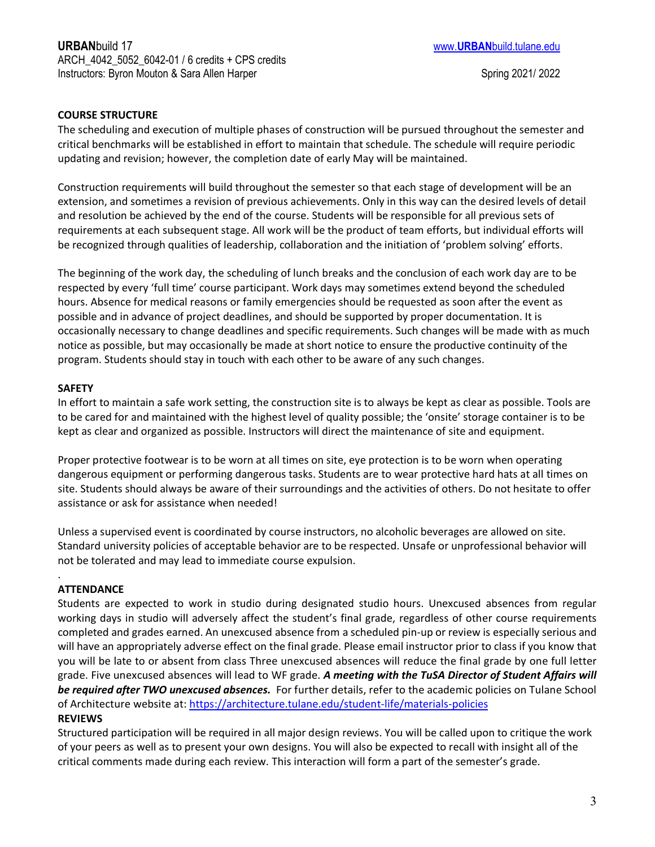## **COURSE STRUCTURE**

The scheduling and execution of multiple phases of construction will be pursued throughout the semester and critical benchmarks will be established in effort to maintain that schedule. The schedule will require periodic updating and revision; however, the completion date of early May will be maintained.

Construction requirements will build throughout the semester so that each stage of development will be an extension, and sometimes a revision of previous achievements. Only in this way can the desired levels of detail and resolution be achieved by the end of the course. Students will be responsible for all previous sets of requirements at each subsequent stage. All work will be the product of team efforts, but individual efforts will be recognized through qualities of leadership, collaboration and the initiation of 'problem solving' efforts.

The beginning of the work day, the scheduling of lunch breaks and the conclusion of each work day are to be respected by every 'full time' course participant. Work days may sometimes extend beyond the scheduled hours. Absence for medical reasons or family emergencies should be requested as soon after the event as possible and in advance of project deadlines, and should be supported by proper documentation. It is occasionally necessary to change deadlines and specific requirements. Such changes will be made with as much notice as possible, but may occasionally be made at short notice to ensure the productive continuity of the program. Students should stay in touch with each other to be aware of any such changes.

### **SAFETY**

In effort to maintain a safe work setting, the construction site is to always be kept as clear as possible. Tools are to be cared for and maintained with the highest level of quality possible; the 'onsite' storage container is to be kept as clear and organized as possible. Instructors will direct the maintenance of site and equipment.

Proper protective footwear is to be worn at all times on site, eye protection is to be worn when operating dangerous equipment or performing dangerous tasks. Students are to wear protective hard hats at all times on site. Students should always be aware of their surroundings and the activities of others. Do not hesitate to offer assistance or ask for assistance when needed!

Unless a supervised event is coordinated by course instructors, no alcoholic beverages are allowed on site. Standard university policies of acceptable behavior are to be respected. Unsafe or unprofessional behavior will not be tolerated and may lead to immediate course expulsion.

### **ATTENDANCE**

.

Students are expected to work in studio during designated studio hours. Unexcused absences from regular working days in studio will adversely affect the student's final grade, regardless of other course requirements completed and grades earned. An unexcused absence from a scheduled pin-up or review is especially serious and will have an appropriately adverse effect on the final grade. Please email instructor prior to class if you know that you will be late to or absent from class Three unexcused absences will reduce the final grade by one full letter grade. Five unexcused absences will lead to WF grade. *A meeting with the TuSA Director of Student Affairs will be required after TWO unexcused absences.* For further details, refer to the academic policies on Tulane School of Architecture website at:<https://architecture.tulane.edu/student-life/materials-policies>

### **REVIEWS**

Structured participation will be required in all major design reviews. You will be called upon to critique the work of your peers as well as to present your own designs. You will also be expected to recall with insight all of the critical comments made during each review. This interaction will form a part of the semester's grade.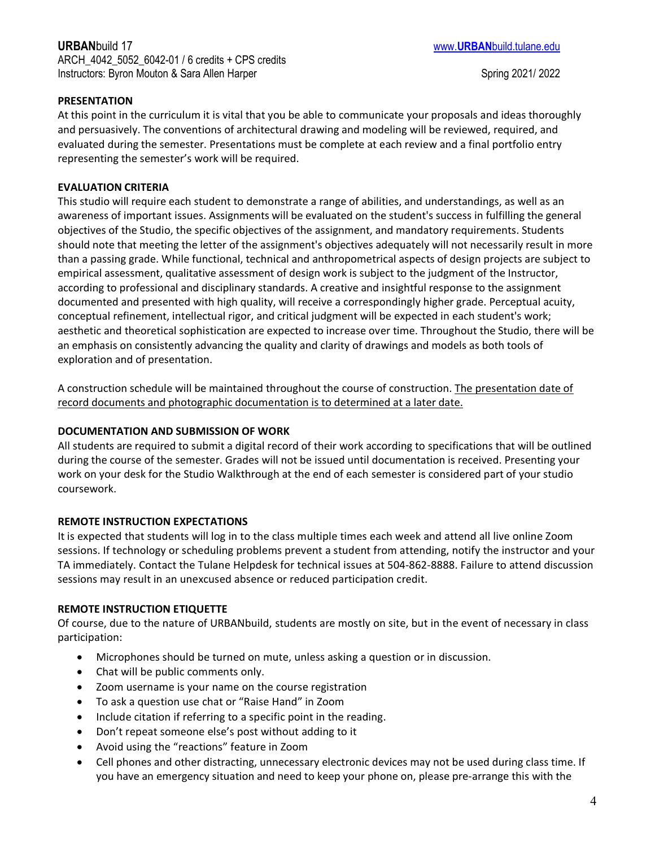# **URBAN**build 17 www.**URBAN**[build.tulane.edu](http://www.urbanbuild.tulane.edu/) ARCH\_4042\_5052\_6042-01 / 6 credits + CPS credits Instructors: Byron Mouton & Sara Allen Harper Spring 2021/ 2022

## **PRESENTATION**

At this point in the curriculum it is vital that you be able to communicate your proposals and ideas thoroughly and persuasively. The conventions of architectural drawing and modeling will be reviewed, required, and evaluated during the semester. Presentations must be complete at each review and a final portfolio entry representing the semester's work will be required.

### **EVALUATION CRITERIA**

This studio will require each student to demonstrate a range of abilities, and understandings, as well as an awareness of important issues. Assignments will be evaluated on the student's success in fulfilling the general objectives of the Studio, the specific objectives of the assignment, and mandatory requirements. Students should note that meeting the letter of the assignment's objectives adequately will not necessarily result in more than a passing grade. While functional, technical and anthropometrical aspects of design projects are subject to empirical assessment, qualitative assessment of design work is subject to the judgment of the Instructor, according to professional and disciplinary standards. A creative and insightful response to the assignment documented and presented with high quality, will receive a correspondingly higher grade. Perceptual acuity, conceptual refinement, intellectual rigor, and critical judgment will be expected in each student's work; aesthetic and theoretical sophistication are expected to increase over time. Throughout the Studio, there will be an emphasis on consistently advancing the quality and clarity of drawings and models as both tools of exploration and of presentation.

A construction schedule will be maintained throughout the course of construction. The presentation date of record documents and photographic documentation is to determined at a later date.

### **DOCUMENTATION AND SUBMISSION OF WORK**

All students are required to submit a digital record of their work according to specifications that will be outlined during the course of the semester. Grades will not be issued until documentation is received. Presenting your work on your desk for the Studio Walkthrough at the end of each semester is considered part of your studio coursework.

## **REMOTE INSTRUCTION EXPECTATIONS**

It is expected that students will log in to the class multiple times each week and attend all live online Zoom sessions. If technology or scheduling problems prevent a student from attending, notify the instructor and your TA immediately. Contact the Tulane Helpdesk for technical issues at 504-862-8888. Failure to attend discussion sessions may result in an unexcused absence or reduced participation credit.

### **REMOTE INSTRUCTION ETIQUETTE**

Of course, due to the nature of URBANbuild, students are mostly on site, but in the event of necessary in class participation:

- Microphones should be turned on mute, unless asking a question or in discussion.
- Chat will be public comments only.
- Zoom username is your name on the course registration
- To ask a question use chat or "Raise Hand" in Zoom
- Include citation if referring to a specific point in the reading.
- Don't repeat someone else's post without adding to it
- Avoid using the "reactions" feature in Zoom
- Cell phones and other distracting, unnecessary electronic devices may not be used during class time. If you have an emergency situation and need to keep your phone on, please pre-arrange this with the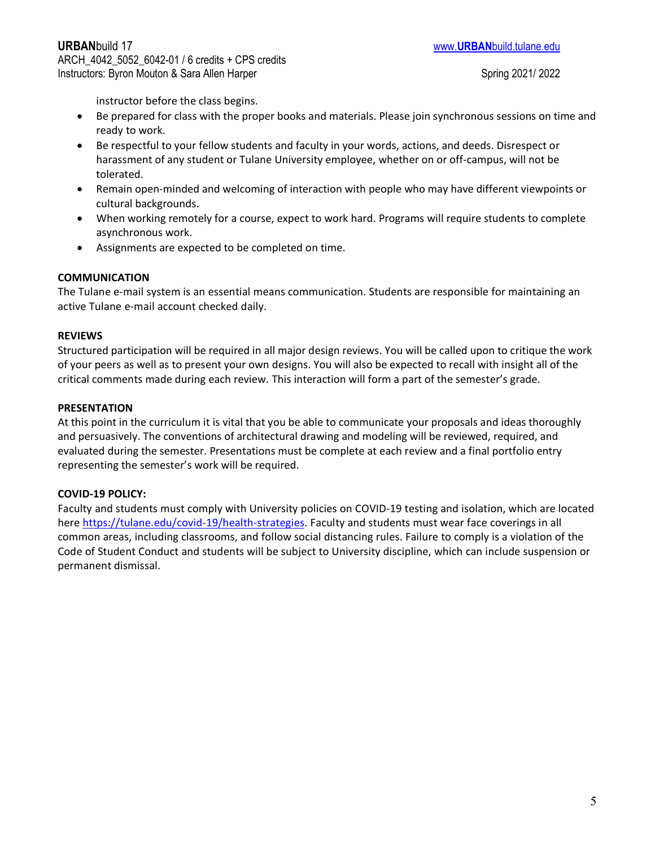instructor before the class begins.

- Be prepared for class with the proper books and materials. Please join synchronous sessions on time and ready to work.
- Be respectful to your fellow students and faculty in your words, actions, and deeds. Disrespect or harassment of any student or Tulane University employee, whether on or off-campus, will not be tolerated.
- Remain open-minded and welcoming of interaction with people who may have different viewpoints or cultural backgrounds.
- When working remotely for a course, expect to work hard. Programs will require students to complete asynchronous work.
- Assignments are expected to be completed on time.

### **COMMUNICATION**

The Tulane e-mail system is an essential means communication. Students are responsible for maintaining an active Tulane e-mail account checked daily.

### **REVIEWS**

Structured participation will be required in all major design reviews. You will be called upon to critique the work of your peers as well as to present your own designs. You will also be expected to recall with insight all of the critical comments made during each review. This interaction will form a part of the semester's grade.

#### **PRESENTATION**

At this point in the curriculum it is vital that you be able to communicate your proposals and ideas thoroughly and persuasively. The conventions of architectural drawing and modeling will be reviewed, required, and evaluated during the semester. Presentations must be complete at each review and a final portfolio entry representing the semester's work will be required.

### **COVID-19 POLICY:**

Faculty and students must comply with University policies on COVID-19 testing and isolation, which are located here [https://tulane.edu/covid-19/health-strategies.](https://tulane.edu/covid-19/health-strategies) Faculty and students must wear face coverings in all common areas, including classrooms, and follow social distancing rules. Failure to comply is a violation of the Code of Student Conduct and students will be subject to University discipline, which can include suspension or permanent dismissal.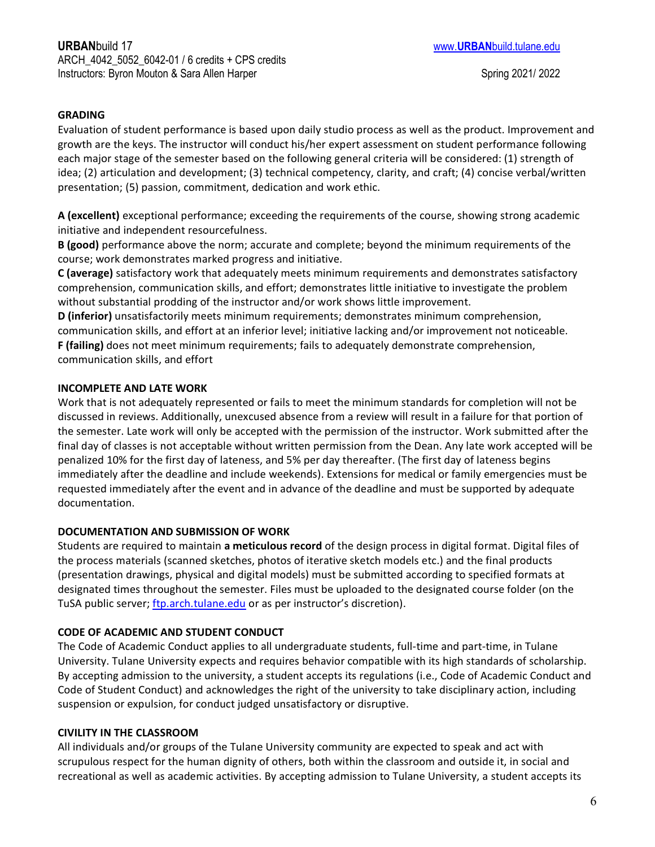## **GRADING**

Evaluation of student performance is based upon daily studio process as well as the product. Improvement and growth are the keys. The instructor will conduct his/her expert assessment on student performance following each major stage of the semester based on the following general criteria will be considered: (1) strength of idea; (2) articulation and development; (3) technical competency, clarity, and craft; (4) concise verbal/written presentation; (5) passion, commitment, dedication and work ethic.

**A (excellent)** exceptional performance; exceeding the requirements of the course, showing strong academic initiative and independent resourcefulness.

**B (good)** performance above the norm; accurate and complete; beyond the minimum requirements of the course; work demonstrates marked progress and initiative.

**C (average)** satisfactory work that adequately meets minimum requirements and demonstrates satisfactory comprehension, communication skills, and effort; demonstrates little initiative to investigate the problem without substantial prodding of the instructor and/or work shows little improvement.

**D (inferior)** unsatisfactorily meets minimum requirements; demonstrates minimum comprehension, communication skills, and effort at an inferior level; initiative lacking and/or improvement not noticeable. **F (failing)** does not meet minimum requirements; fails to adequately demonstrate comprehension, communication skills, and effort

## **INCOMPLETE AND LATE WORK**

Work that is not adequately represented or fails to meet the minimum standards for completion will not be discussed in reviews. Additionally, unexcused absence from a review will result in a failure for that portion of the semester. Late work will only be accepted with the permission of the instructor. Work submitted after the final day of classes is not acceptable without written permission from the Dean. Any late work accepted will be penalized 10% for the first day of lateness, and 5% per day thereafter. (The first day of lateness begins immediately after the deadline and include weekends). Extensions for medical or family emergencies must be requested immediately after the event and in advance of the deadline and must be supported by adequate documentation.

# **DOCUMENTATION AND SUBMISSION OF WORK**

Students are required to maintain **a meticulous record** of the design process in digital format. Digital files of the process materials (scanned sketches, photos of iterative sketch models etc.) and the final products (presentation drawings, physical and digital models) must be submitted according to specified formats at designated times throughout the semester. Files must be uploaded to the designated course folder (on the TuSA public server; [ftp.arch.tulane.edu](ftp://ftp.arch.tulane.edu/) or as per instructor's discretion).

# **CODE OF ACADEMIC AND STUDENT CONDUCT**

The Code of Academic Conduct applies to all undergraduate students, full-time and part-time, in Tulane University. Tulane University expects and requires behavior compatible with its high standards of scholarship. By accepting admission to the university, a student accepts its regulations (i.e., [Code of Academic Conduct](https://college.tulane.edu/code-of-academic-conduct) and [Code of Student Conduct\)](https://conduct.tulane.edu/resources/code-student-conduct) and acknowledges the right of the university to take disciplinary action, including suspension or expulsion, for conduct judged unsatisfactory or disruptive.

# **CIVILITY IN THE CLASSROOM**

All individuals and/or groups of the Tulane University community are expected to speak and act with scrupulous respect for the human dignity of others, both within the classroom and outside it, in social and recreational as well as academic activities. By accepting admission to Tulane University, a student accepts its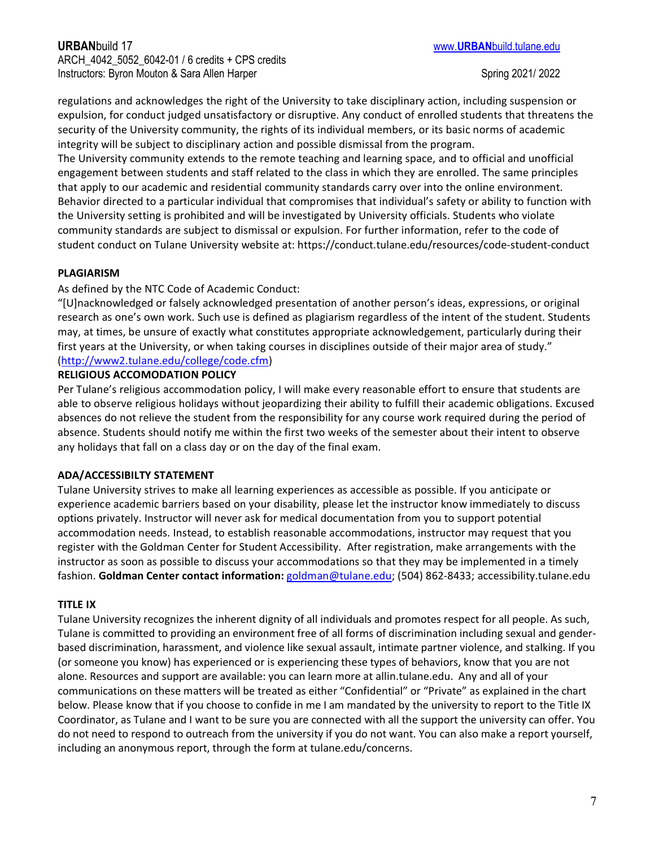regulations and acknowledges the right of the University to take disciplinary action, including suspension or expulsion, for conduct judged unsatisfactory or disruptive. Any conduct of enrolled students that threatens the security of the University community, the rights of its individual members, or its basic norms of academic integrity will be subject to disciplinary action and possible dismissal from the program.

The University community extends to the remote teaching and learning space, and to official and unofficial engagement between students and staff related to the class in which they are enrolled. The same principles that apply to our academic and residential community standards carry over into the online environment. Behavior directed to a particular individual that compromises that individual's safety or ability to function with the University setting is prohibited and will be investigated by University officials. Students who violate community standards are subject to dismissal or expulsion. For further information, refer to the code of student conduct on Tulane University website at: https://conduct.tulane.edu/resources/code-student-conduct

## **PLAGIARISM**

### As defined by the NTC Code of Academic Conduct:

"[U]nacknowledged or falsely acknowledged presentation of another person's ideas, expressions, or original research as one's own work. Such use is defined as plagiarism regardless of the intent of the student. Students may, at times, be unsure of exactly what constitutes appropriate acknowledgement, particularly during their first years at the University, or when taking courses in disciplines outside of their major area of study." [\(http://www2.tulane.edu/college/code.cfm\)](http://www2.tulane.edu/college/code.cfm)

### **RELIGIOUS ACCOMODATION POLICY**

Per Tulane's religious accommodation policy, I will make every reasonable effort to ensure that students are able to observe religious holidays without jeopardizing their ability to fulfill their academic obligations. Excused absences do not relieve the student from the responsibility for any course work required during the period of absence. Students should notify me within the first two weeks of the semester about their intent to observe any holidays that fall on a class day or on the day of the final exam.

## **ADA/ACCESSIBILTY STATEMENT**

Tulane University strives to make all learning experiences as accessible as possible. If you anticipate or experience academic barriers based on your disability, please let the instructor know immediately to discuss options privately. Instructor will never ask for medical documentation from you to support potential accommodation needs. Instead, to establish reasonable accommodations, instructor may request that you register with the Goldman Center for Student Accessibility. After registration, make arrangements with the instructor as soon as possible to discuss your accommodations so that they may be implemented in a timely fashion. **Goldman Center contact information:** [goldman@tulane.edu;](mailto:goldman@tulane.edu) (504) 862-8433; accessibility.tulane.edu

### **TITLE IX**

Tulane University recognizes the inherent dignity of all individuals and promotes respect for all people. As such, Tulane is committed to providing an environment free of all forms of discrimination including sexual and genderbased discrimination, harassment, and violence like sexual assault, intimate partner violence, and stalking. If you (or someone you know) has experienced or is experiencing these types of behaviors, know that you are not alone. Resources and support are available: you can learn more at allin.tulane.edu. Any and all of your communications on these matters will be treated as either "Confidential" or "Private" as explained in the chart below. Please know that if you choose to confide in me I am mandated by the university to report to the Title IX Coordinator, as Tulane and I want to be sure you are connected with all the support the university can offer. You do not need to respond to outreach from the university if you do not want. You can also make a report yourself, including an anonymous report, through the form at tulane.edu/concerns.